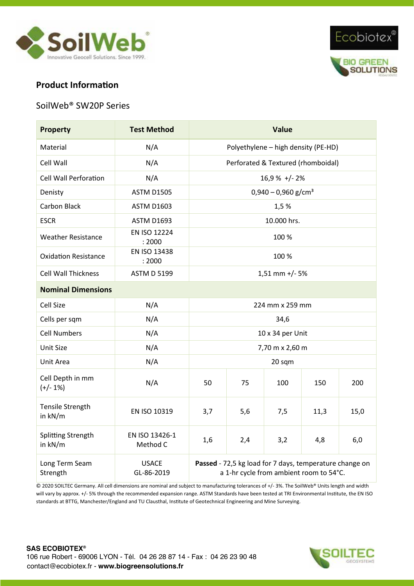



# **Product Information**

#### SoilWeb® SW20P Series

| <b>Property</b>                | <b>Test Method</b>         | <b>Value</b>                                                                                       |     |     |      |      |  |  |
|--------------------------------|----------------------------|----------------------------------------------------------------------------------------------------|-----|-----|------|------|--|--|
| Material                       | N/A                        | Polyethylene - high density (PE-HD)                                                                |     |     |      |      |  |  |
| Cell Wall                      | N/A                        | Perforated & Textured (rhomboidal)                                                                 |     |     |      |      |  |  |
| <b>Cell Wall Perforation</b>   | N/A                        | 16,9 % +/-2%                                                                                       |     |     |      |      |  |  |
| Denisty                        | <b>ASTM D1505</b>          | $0,940 - 0,960$ g/cm <sup>3</sup>                                                                  |     |     |      |      |  |  |
| Carbon Black                   | <b>ASTM D1603</b>          | 1,5%                                                                                               |     |     |      |      |  |  |
| <b>ESCR</b>                    | <b>ASTM D1693</b>          | 10.000 hrs.                                                                                        |     |     |      |      |  |  |
| <b>Weather Resistance</b>      | EN ISO 12224<br>: 2000     | 100 %                                                                                              |     |     |      |      |  |  |
| <b>Oxidation Resistance</b>    | EN ISO 13438<br>: 2000     | 100 %                                                                                              |     |     |      |      |  |  |
| <b>Cell Wall Thickness</b>     | <b>ASTM D 5199</b>         | $1,51$ mm +/- 5%                                                                                   |     |     |      |      |  |  |
| <b>Nominal Dimensions</b>      |                            |                                                                                                    |     |     |      |      |  |  |
| Cell Size                      | N/A                        | 224 mm x 259 mm                                                                                    |     |     |      |      |  |  |
| Cells per sqm                  | N/A                        | 34,6                                                                                               |     |     |      |      |  |  |
| <b>Cell Numbers</b>            | N/A                        | 10 x 34 per Unit                                                                                   |     |     |      |      |  |  |
| <b>Unit Size</b>               | N/A                        | 7,70 m x 2,60 m                                                                                    |     |     |      |      |  |  |
| Unit Area                      | N/A                        | 20 sqm                                                                                             |     |     |      |      |  |  |
| Cell Depth in mm<br>$(+/- 1%)$ | N/A                        | 50                                                                                                 | 75  | 100 | 150  | 200  |  |  |
| Tensile Strength<br>in kN/m    | EN ISO 10319               | 3,7                                                                                                | 5,6 | 7,5 | 11,3 | 15,0 |  |  |
| Splitting Strength<br>in kN/m  | EN ISO 13426-1<br>Method C | 1,6                                                                                                | 2,4 | 3,2 | 4,8  | 6,0  |  |  |
| Long Term Seam<br>Strength     | <b>USACE</b><br>GL-86-2019 | Passed - 72,5 kg load for 7 days, temperature change on<br>a 1-hr cycle from ambient room to 54°C. |     |     |      |      |  |  |

© 2020 SOILTEC Germany. All cell dimensions are nominal and subject to manufacturing tolerances of +/- 3%. The SoilWeb® Units length and width will vary by approx. +/- 5% through the recommended expansion range. ASTM Standards have been tested at TRI Environmental Institute, the EN ISO standards at BTTG, Manchester/England and TU Clausthal, Institute of Geotechnical Engineering and Mine Surveying.

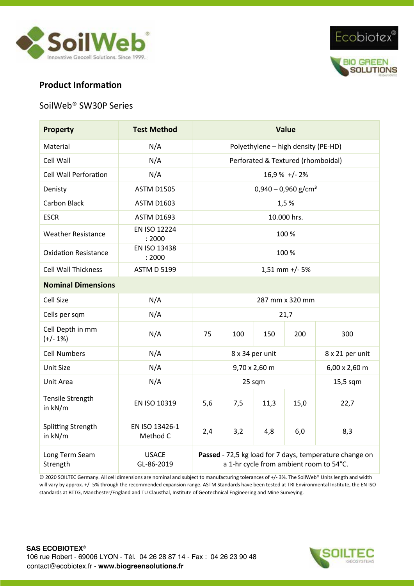



## **Product Information**

# SoilWeb® SW30P Series

| <b>Property</b>                | <b>Test Method</b>         | <b>Value</b>                                                                                       |                 |                 |      |      |  |  |
|--------------------------------|----------------------------|----------------------------------------------------------------------------------------------------|-----------------|-----------------|------|------|--|--|
| Material                       | N/A                        | Polyethylene - high density (PE-HD)                                                                |                 |                 |      |      |  |  |
| Cell Wall                      | N/A                        | Perforated & Textured (rhomboidal)                                                                 |                 |                 |      |      |  |  |
| <b>Cell Wall Perforation</b>   | N/A                        | $16,9%$ +/-2%                                                                                      |                 |                 |      |      |  |  |
| Denisty                        | <b>ASTM D1505</b>          | $0,940 - 0,960$ g/cm <sup>3</sup>                                                                  |                 |                 |      |      |  |  |
| Carbon Black                   | <b>ASTM D1603</b>          | 1,5%                                                                                               |                 |                 |      |      |  |  |
| <b>ESCR</b>                    | <b>ASTM D1693</b>          | 10.000 hrs.                                                                                        |                 |                 |      |      |  |  |
| <b>Weather Resistance</b>      | EN ISO 12224<br>: 2000     | 100 %                                                                                              |                 |                 |      |      |  |  |
| <b>Oxidation Resistance</b>    | EN ISO 13438<br>: 2000     | 100 %                                                                                              |                 |                 |      |      |  |  |
| <b>Cell Wall Thickness</b>     | <b>ASTM D 5199</b>         | $1,51$ mm +/- 5%                                                                                   |                 |                 |      |      |  |  |
| <b>Nominal Dimensions</b>      |                            |                                                                                                    |                 |                 |      |      |  |  |
| <b>Cell Size</b>               | N/A                        | 287 mm x 320 mm                                                                                    |                 |                 |      |      |  |  |
| Cells per sqm                  | N/A                        | 21,7                                                                                               |                 |                 |      |      |  |  |
| Cell Depth in mm<br>$(+/- 1%)$ | N/A                        | 75                                                                                                 | 100             | 150             | 200  | 300  |  |  |
| <b>Cell Numbers</b>            | N/A                        |                                                                                                    | 8 x 34 per unit | 8 x 21 per unit |      |      |  |  |
| <b>Unit Size</b>               | N/A                        |                                                                                                    | 9,70 x 2,60 m   | 6,00 x 2,60 m   |      |      |  |  |
| Unit Area                      | N/A                        |                                                                                                    | 25 sqm          | 15,5 sqm        |      |      |  |  |
| Tensile Strength<br>in kN/m    | EN ISO 10319               | 5,6                                                                                                | 7,5             | 11,3            | 15,0 | 22,7 |  |  |
| Splitting Strength<br>in kN/m  | EN ISO 13426-1<br>Method C | 2,4                                                                                                | 3,2             | 4,8             | 6,0  | 8,3  |  |  |
| Long Term Seam<br>Strength     | <b>USACE</b><br>GL-86-2019 | Passed - 72,5 kg load for 7 days, temperature change on<br>a 1-hr cycle from ambient room to 54°C. |                 |                 |      |      |  |  |

© 2020 SOILTEC Germany. All cell dimensions are nominal and subject to manufacturing tolerances of +/- 3%. The SoilWeb® Units length and width will vary by approx. +/- 5% through the recommended expansion range. ASTM Standards have been tested at TRI Environmental Institute, the EN ISO standards at BTTG, Manchester/England and TU Clausthal, Institute of Geotechnical Engineering and Mine Surveying.